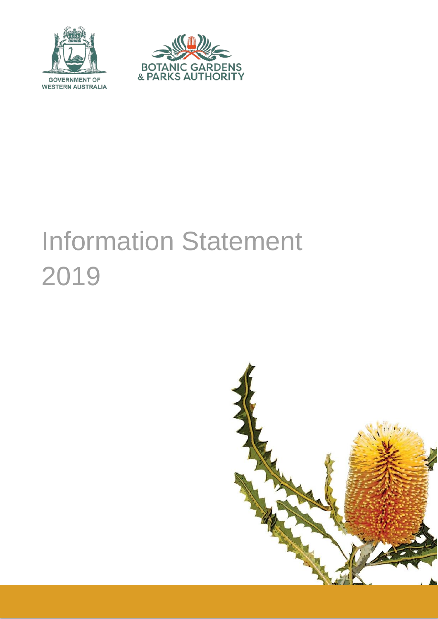



# Information Statement 2019

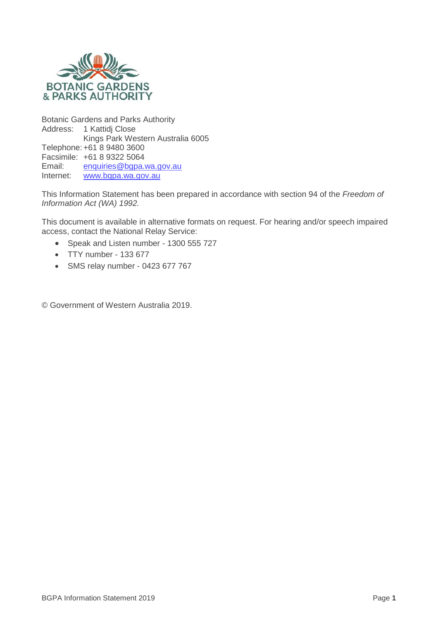

Botanic Gardens and Parks Authority Address: 1 Kattidj Close Kings Park Western Australia 6005 Telephone:+61 8 9480 3600 Facsimile: +61 8 9322 5064<br>Email: enquiries@bapa.y Email: [enquiries@bgpa.wa.gov.au](mailto:enquiries@bgpa.wa.gov.au)<br>Internet: www.bgpa.wa.gov.au [www.bgpa.wa.gov.au](http://www.bgpa.wa.gov.au/)

This Information Statement has been prepared in accordance with section 94 of the *Freedom of Information Act (WA) 1992.*

This document is available in alternative formats on request. For hearing and/or speech impaired access, contact the National Relay Service:

- Speak and Listen number 1300 555 727
- TTY number 133 677
- SMS relay number 0423 677 767

© Government of Western Australia 2019.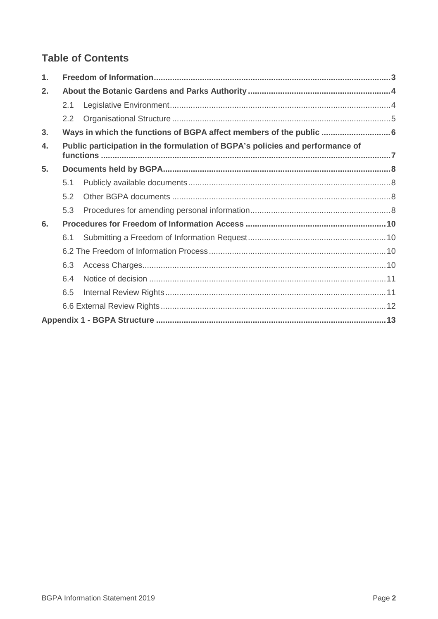# **Table of Contents**

| 1.             |     |                                                                               |  |
|----------------|-----|-------------------------------------------------------------------------------|--|
| 2.             |     |                                                                               |  |
|                | 2.1 |                                                                               |  |
|                | 2.2 |                                                                               |  |
| 3 <sub>1</sub> |     | Ways in which the functions of BGPA affect members of the public  6           |  |
| $\mathbf{4}$ . |     | Public participation in the formulation of BGPA's policies and performance of |  |
| 5.             |     |                                                                               |  |
|                | 5.1 |                                                                               |  |
|                | 5.2 |                                                                               |  |
|                | 5.3 |                                                                               |  |
| 6.             |     |                                                                               |  |
|                | 6.1 |                                                                               |  |
|                |     |                                                                               |  |
|                | 6.3 |                                                                               |  |
|                | 6.4 |                                                                               |  |
|                | 6.5 |                                                                               |  |
|                |     |                                                                               |  |
|                |     |                                                                               |  |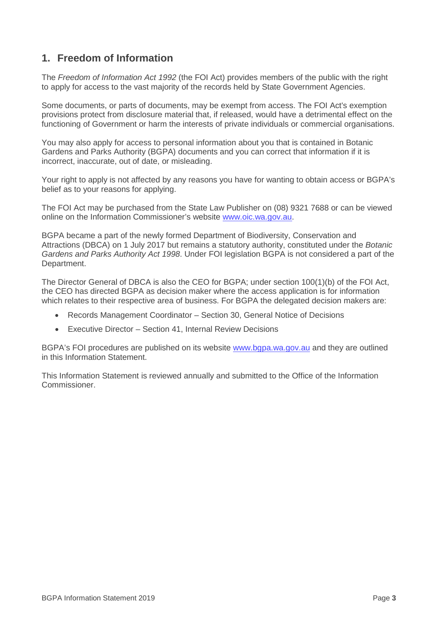## <span id="page-3-0"></span>**1. Freedom of Information**

The *Freedom of Information Act 1992* (the FOI Act) provides members of the public with the right to apply for access to the vast majority of the records held by State Government Agencies.

Some documents, or parts of documents, may be exempt from access. The FOI Act's exemption provisions protect from disclosure material that, if released, would have a detrimental effect on the functioning of Government or harm the interests of private individuals or commercial organisations.

You may also apply for access to personal information about you that is contained in Botanic Gardens and Parks Authority (BGPA) documents and you can correct that information if it is incorrect, inaccurate, out of date, or misleading.

Your right to apply is not affected by any reasons you have for wanting to obtain access or BGPA's belief as to your reasons for applying.

The FOI Act may be purchased from the State Law Publisher on (08) 9321 7688 or can be viewed online on the Information Commissioner's website [www.oic.wa.gov.au.](http://www.oic.wa.gov.au/)

BGPA became a part of the newly formed Department of Biodiversity, Conservation and Attractions (DBCA) on 1 July 2017 but remains a statutory authority, constituted under the *Botanic Gardens and Parks Authority Act 1998*. Under FOI legislation BGPA is not considered a part of the Department.

The Director General of DBCA is also the CEO for BGPA; under section 100(1)(b) of the FOI Act, the CEO has directed BGPA as decision maker where the access application is for information which relates to their respective area of business. For BGPA the delegated decision makers are:

- Records Management Coordinator Section 30, General Notice of Decisions
- Executive Director Section 41, Internal Review Decisions

BGPA's FOI procedures are published on its website [www.bgpa.wa.gov.au](http://www.bgpa.wa.gov.au/) and they are outlined in this Information Statement.

This Information Statement is reviewed annually and submitted to the Office of the Information Commissioner.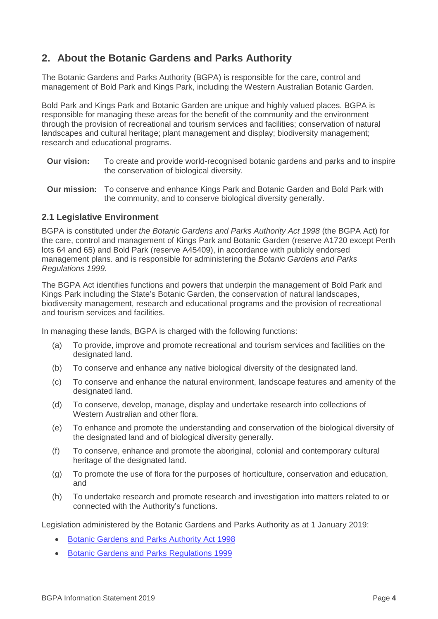## <span id="page-4-0"></span>**2. About the Botanic Gardens and Parks Authority**

The Botanic Gardens and Parks Authority (BGPA) is responsible for the care, control and management of Bold Park and Kings Park, including the Western Australian Botanic Garden.

Bold Park and Kings Park and Botanic Garden are unique and highly valued places. BGPA is responsible for managing these areas for the benefit of the community and the environment through the provision of recreational and tourism services and facilities; conservation of natural landscapes and cultural heritage; plant management and display; biodiversity management; research and educational programs.

- **Our vision:** To create and provide world-recognised botanic gardens and parks and to inspire the conservation of biological diversity.
- **Our mission:** To conserve and enhance Kings Park and Botanic Garden and Bold Park with the community, and to conserve biological diversity generally.

#### <span id="page-4-1"></span>**2.1 Legislative Environment**

BGPA is constituted under *the Botanic Gardens and Parks Authority Act 1998* (the BGPA Act) for the care, control and management of Kings Park and Botanic Garden (reserve A1720 except Perth lots 64 and 65) and Bold Park (reserve A45409), in accordance with publicly endorsed management plans. and is responsible for administering the *Botanic Gardens and Parks Regulations 1999*.

The BGPA Act identifies functions and powers that underpin the management of Bold Park and Kings Park including the State's Botanic Garden, the conservation of natural landscapes, biodiversity management, research and educational programs and the provision of recreational and tourism services and facilities.

In managing these lands, BGPA is charged with the following functions:

- (a) To provide, improve and promote recreational and tourism services and facilities on the designated land.
- (b) To conserve and enhance any native biological diversity of the designated land.
- (c) To conserve and enhance the natural environment, landscape features and amenity of the designated land.
- (d) To conserve, develop, manage, display and undertake research into collections of Western Australian and other flora.
- (e) To enhance and promote the understanding and conservation of the biological diversity of the designated land and of biological diversity generally.
- (f) To conserve, enhance and promote the aboriginal, colonial and contemporary cultural heritage of the designated land.
- (g) To promote the use of flora for the purposes of horticulture, conservation and education, and
- (h) To undertake research and promote research and investigation into matters related to or connected with the Authority's functions.

Legislation administered by the Botanic Gardens and Parks Authority as at 1 January 2019:

- [Botanic Gardens and Parks Authority Act 1998](https://www.legislation.wa.gov.au/legislation/statutes.nsf/main_mrtitle_89_homepage.html)
- [Botanic Gardens and Parks Regulations 1999](https://www.legislation.wa.gov.au/legislation/statutes.nsf/law_s1062_currencies.html)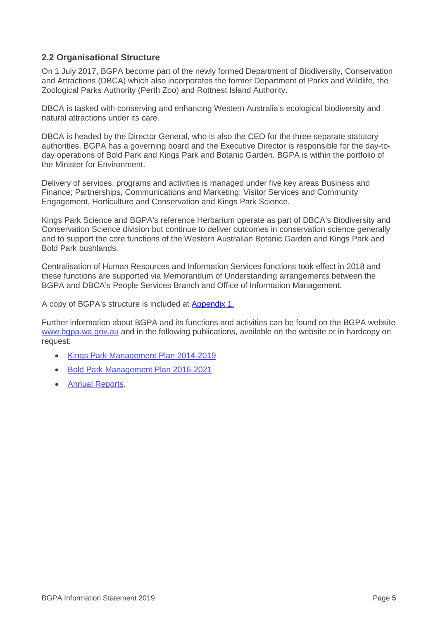#### <span id="page-5-0"></span>**2.2 Organisational Structure**

On 1 July 2017, BGPA become part of the newly formed Department of Biodiversity, Conservation and Attractions (DBCA) which also incorporates the former Department of Parks and Wildlife, the Zoological Parks Authority (Perth Zoo) and Rottnest Island Authority.

DBCA is tasked with conserving and enhancing Western Australia's ecological biodiversity and natural attractions under its care.

DBCA is headed by the Director General, who is also the CEO for the three separate statutory authorities. BGPA has a governing board and the Executive Director is responsible for the day-today operations of Bold Park and Kings Park and Botanic Garden. BGPA is within the portfolio of the Minister for Environment.

Delivery of services, programs and activities is managed under five key areas Business and Finance; Partnerships, Communications and Marketing; Visitor Services and Community Engagement, Horticulture and Conservation and Kings Park Science.

Kings Park Science and BGPA's reference Herbarium operate as part of DBCA's Biodiversity and Conservation Science division but continue to deliver outcomes in conservation science generally and to support the core functions of the Western Australian Botanic Garden and Kings Park and Bold Park bushlands.

Centralisation of Human Resources and Information Services functions took effect in 2018 and these functions are supported via Memorandum of Understanding arrangements between the BGPA and DBCA's People Services Branch and Office of Information Management.

[A copy of BGPA's structure is included at](#page-13-0) Appendix 1.

Further information about BGPA and its functions and activities can be found on the BGPA website [www.bgpa.wa.gov.au](http://www.bgpa.wa.gov.au/) and in the following publications, available on the website or in hardcopy on request:

- [Kings Park Management Plan 2014-2019](https://www.bgpa.wa.gov.au/about-us/information/management/plans-and-policies/1147-kings-park-management-plan)
- [Bold Park Management Plan 2016-2021](https://www.bgpa.wa.gov.au/about-us/information/management/plans-and-policies/1148-bold-park)
- [Annual Reports.](https://www.bgpa.wa.gov.au/about-us/information/management/publications/46-annual-reports)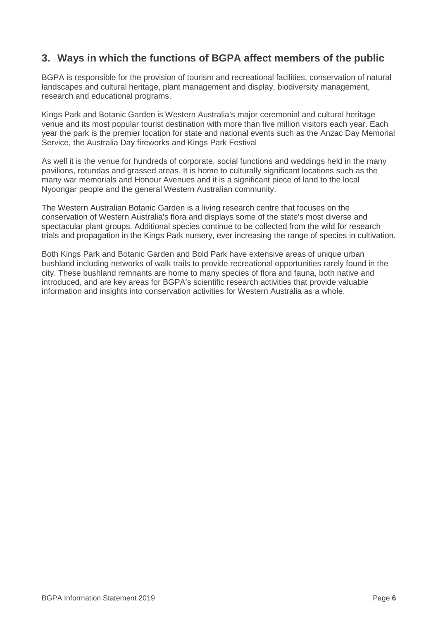## <span id="page-6-0"></span>**3. Ways in which the functions of BGPA affect members of the public**

BGPA is responsible for the provision of tourism and recreational facilities, conservation of natural landscapes and cultural heritage, plant management and display, biodiversity management, research and educational programs.

Kings Park and Botanic Garden is Western Australia's major ceremonial and cultural heritage venue and its most popular tourist destination with more than five million visitors each year. Each year the park is the premier location for state and national events such as the Anzac Day Memorial Service, the Australia Day fireworks and Kings Park Festival

As well it is the venue for hundreds of corporate, social functions and weddings held in the many pavilions, rotundas and grassed areas. It is home to culturally significant locations such as the many war memorials and Honour Avenues and it is a significant piece of land to the local Nyoongar people and the general Western Australian community.

The Western Australian Botanic Garden is a living research centre that focuses on the conservation of Western Australia's flora and displays some of the state's most diverse and spectacular plant groups. Additional species continue to be collected from the wild for research trials and propagation in the Kings Park nursery, ever increasing the range of species in cultivation.

Both Kings Park and Botanic Garden and Bold Park have extensive areas of unique urban bushland including networks of walk trails to provide recreational opportunities rarely found in the city. These bushland remnants are home to many species of flora and fauna, both native and introduced, and are key areas for BGPA's scientific research activities that provide valuable information and insights into conservation activities for Western Australia as a whole.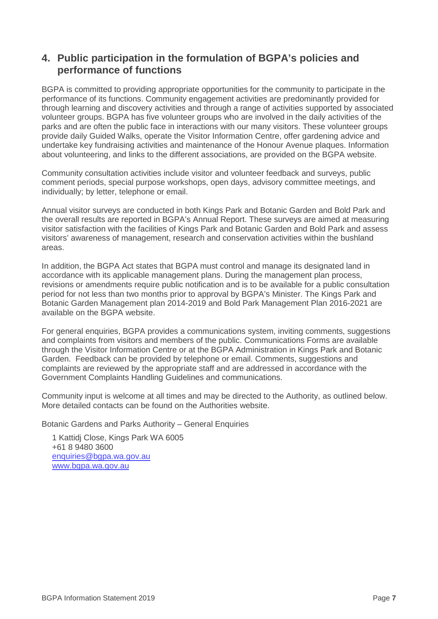## <span id="page-7-0"></span>**4. Public participation in the formulation of BGPA's policies and performance of functions**

BGPA is committed to providing appropriate opportunities for the community to participate in the performance of its functions. Community engagement activities are predominantly provided for through learning and discovery activities and through a range of activities supported by associated volunteer groups. BGPA has five volunteer groups who are involved in the daily activities of the parks and are often the public face in interactions with our many visitors. These volunteer groups provide daily Guided Walks, operate the Visitor Information Centre, offer gardening advice and undertake key fundraising activities and maintenance of the Honour Avenue plaques. Information about volunteering, and links to the different associations, are provided on the BGPA website.

Community consultation activities include visitor and volunteer feedback and surveys, public comment periods, special purpose workshops, open days, advisory committee meetings, and individually; by letter, telephone or email.

Annual visitor surveys are conducted in both Kings Park and Botanic Garden and Bold Park and the overall results are reported in BGPA's Annual Report. These surveys are aimed at measuring visitor satisfaction with the facilities of Kings Park and Botanic Garden and Bold Park and assess visitors' awareness of management, research and conservation activities within the bushland areas.

In addition, the BGPA Act states that BGPA must control and manage its designated land in accordance with its applicable management plans. During the management plan process, revisions or amendments require public notification and is to be available for a public consultation period for not less than two months prior to approval by BGPA's Minister. The Kings Park and Botanic Garden Management plan 2014-2019 and Bold Park Management Plan 2016-2021 are available on the BGPA website.

For general enquiries, BGPA provides a communications system, inviting comments, suggestions and complaints from visitors and members of the public. Communications Forms are available through the Visitor Information Centre or at the BGPA Administration in Kings Park and Botanic Garden. Feedback can be provided by telephone or email. Comments, suggestions and complaints are reviewed by the appropriate staff and are addressed in accordance with the Government Complaints Handling Guidelines and communications.

Community input is welcome at all times and may be directed to the Authority, as outlined below. More detailed contacts can be found on the Authorities website.

Botanic Gardens and Parks Authority – General Enquiries

1 Kattidj Close, Kings Park WA 6005 +61 8 9480 3600 [enquiries@bgpa.wa.gov.au](mailto:enquiries@bgpa.wa.gov.au) [www.bgpa.wa.gov.au](http://www.bgpa.wa.gov.au/)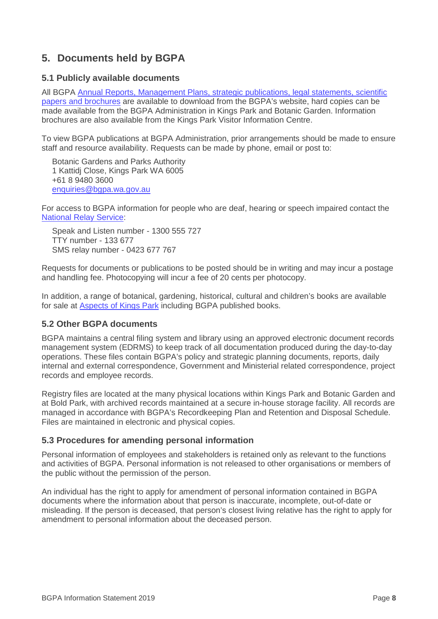## <span id="page-8-0"></span>**5. Documents held by BGPA**

#### <span id="page-8-1"></span>**5.1 Publicly available documents**

All BGPA Annual Reports, Management Plans, strategic publications, legal statements, scientific [papers and brochures](http://www.bgpa.wa.gov.au/about-us/publications) are available to download from the BGPA's website, hard copies can be made available from the BGPA Administration in Kings Park and Botanic Garden. Information brochures are also available from the Kings Park Visitor Information Centre.

To view BGPA publications at BGPA Administration, prior arrangements should be made to ensure staff and resource availability. Requests can be made by phone, email or post to:

Botanic Gardens and Parks Authority 1 Kattidj Close, Kings Park WA 6005 +61 8 9480 3600 [enquiries@bgpa.wa.gov.au](mailto:enquiries@bgpa.wa.gov.au)

For access to BGPA information for people who are deaf, hearing or speech impaired contact the [National Relay Service:](https://www.communications.gov.au/what-we-do/phone/services-people-disability/accesshub/national-relay-service)

Speak and Listen number - 1300 555 727 TTY number - 133 677 SMS relay number - 0423 677 767

Requests for documents or publications to be posted should be in writing and may incur a postage and handling fee. Photocopying will incur a fee of 20 cents per photocopy.

In addition, a range of botanical, gardening, historical, cultural and children's books are available for sale at **Aspects of Kings Park** including BGPA published books.

#### <span id="page-8-2"></span>**5.2 Other BGPA documents**

BGPA maintains a central filing system and library using an approved electronic document records management system (EDRMS) to keep track of all documentation produced during the day-to-day operations. These files contain BGPA's policy and strategic planning documents, reports, daily internal and external correspondence, Government and Ministerial related correspondence, project records and employee records.

Registry files are located at the many physical locations within Kings Park and Botanic Garden and at Bold Park, with archived records maintained at a secure in-house storage facility. All records are managed in accordance with BGPA's Recordkeeping Plan and Retention and Disposal Schedule. Files are maintained in electronic and physical copies.

#### <span id="page-8-3"></span>**5.3 Procedures for amending personal information**

Personal information of employees and stakeholders is retained only as relevant to the functions and activities of BGPA. Personal information is not released to other organisations or members of the public without the permission of the person.

An individual has the right to apply for amendment of personal information contained in BGPA documents where the information about that person is inaccurate, incomplete, out-of-date or misleading. If the person is deceased, that person's closest living relative has the right to apply for amendment to personal information about the deceased person.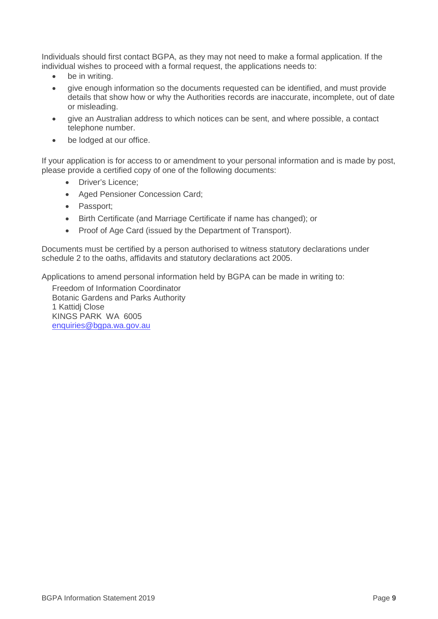Individuals should first contact BGPA, as they may not need to make a formal application. If the individual wishes to proceed with a formal request, the applications needs to:

- be in writing.
- give enough information so the documents requested can be identified, and must provide details that show how or why the Authorities records are inaccurate, incomplete, out of date or misleading.
- give an Australian address to which notices can be sent, and where possible, a contact telephone number.
- be lodged at our office.

If your application is for access to or amendment to your personal information and is made by post, please provide a certified copy of one of the following documents:

- Driver's Licence;
- Aged Pensioner Concession Card;
- Passport;
- Birth Certificate (and Marriage Certificate if name has changed); or
- Proof of Age Card (issued by the Department of Transport).

Documents must be certified by a person authorised to witness statutory declarations under schedule 2 to the oaths, affidavits and statutory declarations act 2005.

Applications to amend personal information held by BGPA can be made in writing to:

Freedom of Information Coordinator Botanic Gardens and Parks Authority 1 Kattidj Close KINGS PARK WA 6005 [enquiries@bgpa.wa.gov.au](mailto:enquiries@bgpa.wa.gov.au)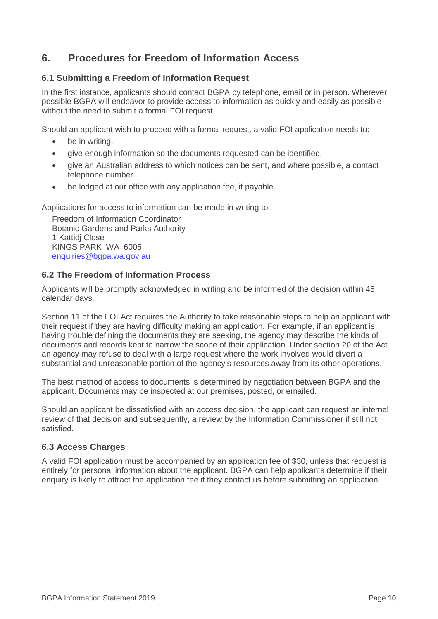## <span id="page-10-0"></span>**6. Procedures for Freedom of Information Access**

#### <span id="page-10-1"></span>**6.1 Submitting a Freedom of Information Request**

In the first instance, applicants should contact BGPA by telephone, email or in person. Wherever possible BGPA will endeavor to provide access to information as quickly and easily as possible without the need to submit a formal FOI request.

Should an applicant wish to proceed with a formal request, a valid FOI application needs to:

- be in writing.
- give enough information so the documents requested can be identified.
- give an Australian address to which notices can be sent, and where possible, a contact telephone number.
- be lodged at our office with any application fee, if payable.

Applications for access to information can be made in writing to:

Freedom of Information Coordinator Botanic Gardens and Parks Authority 1 Kattidj Close KINGS PARK WA 6005 [enquiries@bgpa.wa.gov.au](mailto:enquiries@bgpa.wa.gov.au)

#### <span id="page-10-2"></span>**6.2 The Freedom of Information Process**

Applicants will be promptly acknowledged in writing and be informed of the decision within 45 calendar days.

Section 11 of the FOI Act requires the Authority to take reasonable steps to help an applicant with their request if they are having difficulty making an application. For example, if an applicant is having trouble defining the documents they are seeking, the agency may describe the kinds of documents and records kept to narrow the scope of their application. Under section 20 of the Act an agency may refuse to deal with a large request where the work involved would divert a substantial and unreasonable portion of the agency's resources away from its other operations.

The best method of access to documents is determined by negotiation between BGPA and the applicant. Documents may be inspected at our premises, posted, or emailed.

Should an applicant be dissatisfied with an access decision, the applicant can request an internal review of that decision and subsequently, a review by the Information Commissioner if still not satisfied.

#### <span id="page-10-3"></span>**6.3 Access Charges**

A valid FOI application must be accompanied by an application fee of \$30, unless that request is entirely for personal information about the applicant. BGPA can help applicants determine if their enquiry is likely to attract the application fee if they contact us before submitting an application.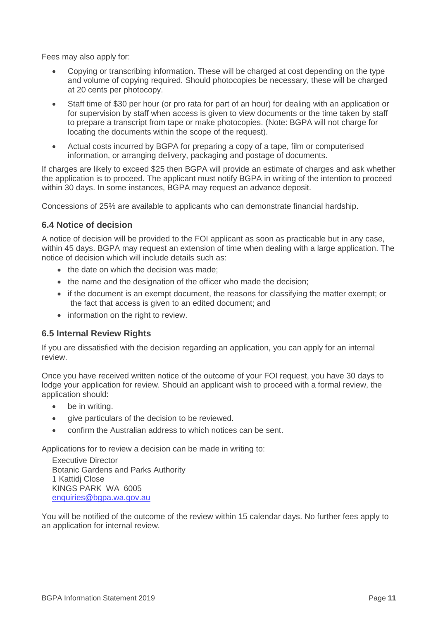Fees may also apply for:

- Copying or transcribing information. These will be charged at cost depending on the type and volume of copying required. Should photocopies be necessary, these will be charged at 20 cents per photocopy.
- Staff time of \$30 per hour (or pro rata for part of an hour) for dealing with an application or for supervision by staff when access is given to view documents or the time taken by staff to prepare a transcript from tape or make photocopies. (Note: BGPA will not charge for locating the documents within the scope of the request).
- Actual costs incurred by BGPA for preparing a copy of a tape, film or computerised information, or arranging delivery, packaging and postage of documents.

If charges are likely to exceed \$25 then BGPA will provide an estimate of charges and ask whether the application is to proceed. The applicant must notify BGPA in writing of the intention to proceed within 30 days. In some instances, BGPA may request an advance deposit.

Concessions of 25% are available to applicants who can demonstrate financial hardship.

#### <span id="page-11-0"></span>**6.4 Notice of decision**

A notice of decision will be provided to the FOI applicant as soon as practicable but in any case, within 45 days. BGPA may request an extension of time when dealing with a large application. The notice of decision which will include details such as:

- the date on which the decision was made;
- the name and the designation of the officer who made the decision;
- if the document is an exempt document, the reasons for classifying the matter exempt; or the fact that access is given to an edited document; and
- information on the right to review.

#### <span id="page-11-1"></span>**6.5 Internal Review Rights**

If you are dissatisfied with the decision regarding an application, you can apply for an internal review.

Once you have received written notice of the outcome of your FOI request, you have 30 days to lodge your application for review. Should an applicant wish to proceed with a formal review, the application should:

- be in writing.
- give particulars of the decision to be reviewed.
- confirm the Australian address to which notices can be sent.

Applications for to review a decision can be made in writing to:

Executive Director Botanic Gardens and Parks Authority 1 Kattidj Close KINGS PARK WA 6005 [enquiries@bgpa.wa.gov.au](mailto:enquiries@bgpa.wa.gov.au)

<span id="page-11-2"></span>You will be notified of the outcome of the review within 15 calendar days. No further fees apply to an application for internal review.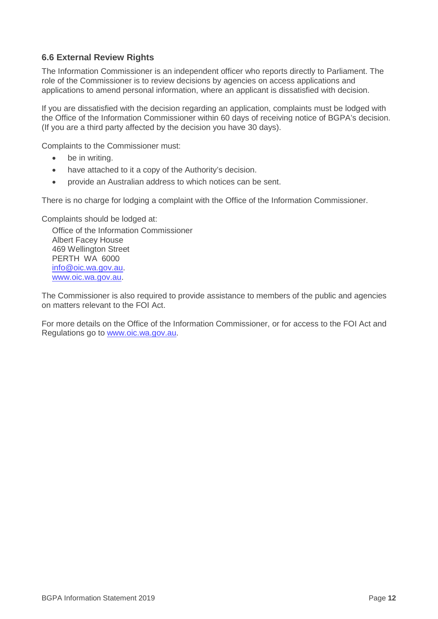#### **6.6 External Review Rights**

The Information Commissioner is an independent officer who reports directly to Parliament. The role of the Commissioner is to review decisions by agencies on access applications and applications to amend personal information, where an applicant is dissatisfied with decision.

If you are dissatisfied with the decision regarding an application, complaints must be lodged with the Office of the Information Commissioner within 60 days of receiving notice of BGPA's decision. (If you are a third party affected by the decision you have 30 days).

Complaints to the Commissioner must:

- be in writing.
- have attached to it a copy of the Authority's decision.
- provide an Australian address to which notices can be sent.

There is no charge for lodging a complaint with the Office of the Information Commissioner.

Complaints should be lodged at:

Office of the Information Commissioner Albert Facey House 469 Wellington Street PERTH WA 6000 [info@oic.wa.gov.au.](mailto:info@foi.wa.gov.au) [www.oic.wa.gov.au.](http://www.oic.wa.gov.au/)

The Commissioner is also required to provide assistance to members of the public and agencies on matters relevant to the FOI Act.

For more details on the Office of the Information Commissioner, or for access to the FOI Act and Regulations go to [www.oic.wa.gov.au.](http://www.oic.wa.gov.au/)